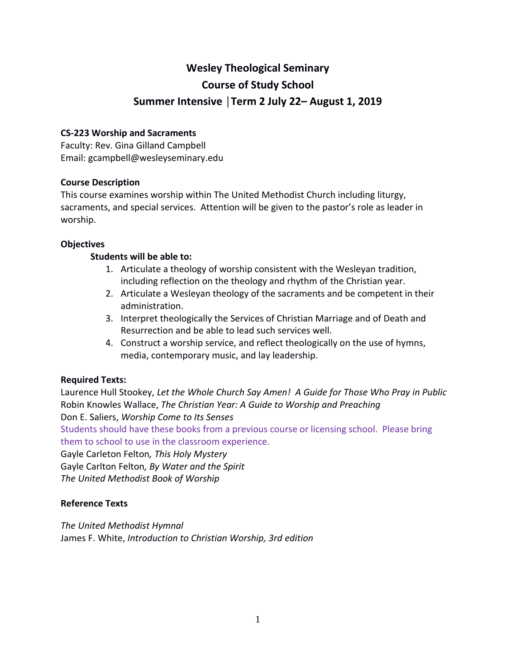# **Wesley Theological Seminary Course of Study School Summer Intensive │Term 2 July 22– August 1, 2019**

### **CS-223 Worship and Sacraments**

Faculty: Rev. Gina Gilland Campbell Email: gcampbell@wesleyseminary.edu

### **Course Description**

This course examines worship within The United Methodist Church including liturgy, sacraments, and special services. Attention will be given to the pastor's role as leader in worship.

### **Objectives**

### **Students will be able to:**

- 1. Articulate a theology of worship consistent with the Wesleyan tradition, including reflection on the theology and rhythm of the Christian year.
- 2. Articulate a Wesleyan theology of the sacraments and be competent in their administration.
- 3. Interpret theologically the Services of Christian Marriage and of Death and Resurrection and be able to lead such services well.
- 4. Construct a worship service, and reflect theologically on the use of hymns, media, contemporary music, and lay leadership.

# **Required Texts:**

Laurence Hull Stookey, *Let the Whole Church Say Amen! A Guide for Those Who Pray in Public* Robin Knowles Wallace, *The Christian Year: A Guide to Worship and Preaching*  Don E. Saliers, *Worship Come to Its Senses*

Students should have these books from a previous course or licensing school. Please bring them to school to use in the classroom experience.

Gayle Carleton Felton*, This Holy Mystery*

Gayle Carlton Felton*, By Water and the Spirit* 

*The United Methodist Book of Worship* 

#### **Reference Texts**

*The United Methodist Hymnal*  James F. White, *Introduction to Christian Worship, 3rd edition*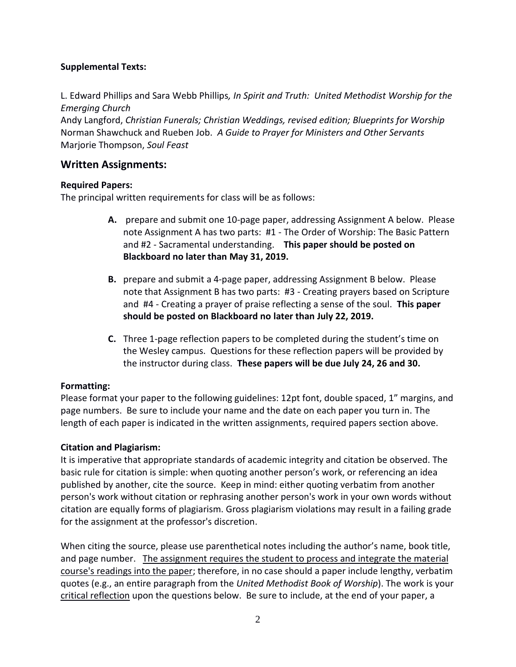# **Supplemental Texts:**

L. Edward Phillips and Sara Webb Phillips*, In Spirit and Truth: United Methodist Worship for the Emerging Church*

Andy Langford, *Christian Funerals; Christian Weddings, revised edition; Blueprints for Worship*  Norman Shawchuck and Rueben Job. *A Guide to Prayer for Ministers and Other Servants*  Marjorie Thompson, *Soul Feast* 

# **Written Assignments:**

# **Required Papers:**

The principal written requirements for class will be as follows:

- **A.** prepare and submit one 10-page paper, addressing Assignment A below. Please note Assignment A has two parts: #1 - The Order of Worship: The Basic Pattern and #2 - Sacramental understanding. **This paper should be posted on Blackboard no later than May 31, 2019.**
- **B.** prepare and submit a 4-page paper, addressing Assignment B below. Please note that Assignment B has two parts: #3 - Creating prayers based on Scripture and #4 - Creating a prayer of praise reflecting a sense of the soul. **This paper should be posted on Blackboard no later than July 22, 2019.**
- **C.** Three 1-page reflection papers to be completed during the student's time on the Wesley campus. Questions for these reflection papers will be provided by the instructor during class. **These papers will be due July 24, 26 and 30.**

# **Formatting:**

Please format your paper to the following guidelines: 12pt font, double spaced, 1" margins, and page numbers. Be sure to include your name and the date on each paper you turn in. The length of each paper is indicated in the written assignments, required papers section above.

# **Citation and Plagiarism:**

It is imperative that appropriate standards of academic integrity and citation be observed. The basic rule for citation is simple: when quoting another person's work, or referencing an idea published by another, cite the source. Keep in mind: either quoting verbatim from another person's work without citation or rephrasing another person's work in your own words without citation are equally forms of plagiarism. Gross plagiarism violations may result in a failing grade for the assignment at the professor's discretion.

When citing the source, please use parenthetical notes including the author's name, book title, and page number. The assignment requires the student to process and integrate the material course's readings into the paper; therefore, in no case should a paper include lengthy, verbatim quotes (e.g., an entire paragraph from the *United Methodist Book of Worship*). The work is your critical reflection upon the questions below. Be sure to include, at the end of your paper, a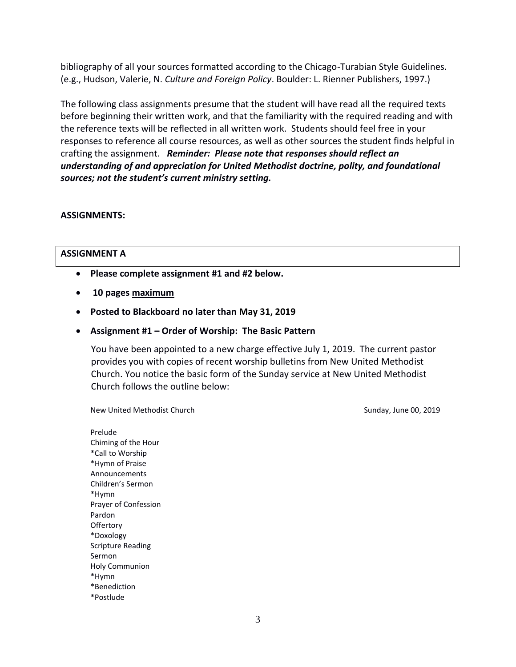bibliography of all your sources formatted according to the Chicago-Turabian Style Guidelines. (e.g., Hudson, Valerie, N. *Culture and Foreign Policy*. Boulder: L. Rienner Publishers, 1997.)

The following class assignments presume that the student will have read all the required texts before beginning their written work, and that the familiarity with the required reading and with the reference texts will be reflected in all written work. Students should feel free in your responses to reference all course resources, as well as other sources the student finds helpful in crafting the assignment. *Reminder: Please note that responses should reflect an understanding of and appreciation for United Methodist doctrine, polity, and foundational sources; not the student's current ministry setting.* 

#### **ASSIGNMENTS:**

#### **ASSIGNMENT A**

- **Please complete assignment #1 and #2 below.**
- **10 pages maximum**
- **Posted to Blackboard no later than May 31, 2019**
- **Assignment #1 – Order of Worship: The Basic Pattern**

You have been appointed to a new charge effective July 1, 2019. The current pastor provides you with copies of recent worship bulletins from New United Methodist Church. You notice the basic form of the Sunday service at New United Methodist Church follows the outline below:

New United Methodist Church Sunday, June 00, 2019

Prelude Chiming of the Hour \*Call to Worship \*Hymn of Praise Announcements Children's Sermon \*Hymn Prayer of Confession Pardon **Offertory** \*Doxology Scripture Reading Sermon Holy Communion \*Hymn \*Benediction \*Postlude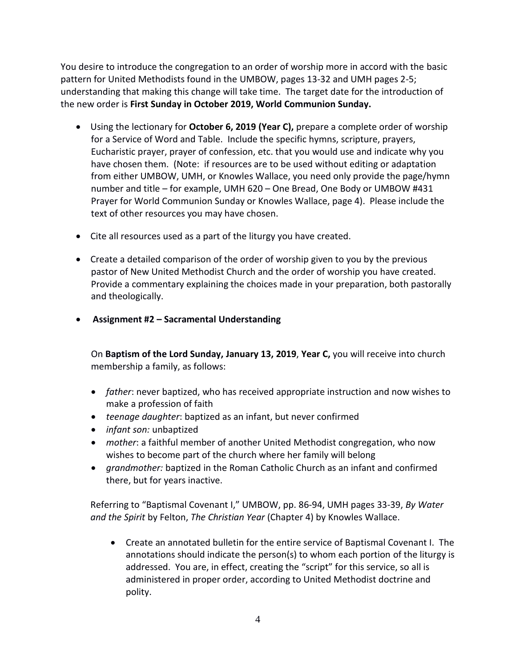You desire to introduce the congregation to an order of worship more in accord with the basic pattern for United Methodists found in the UMBOW, pages 13-32 and UMH pages 2-5; understanding that making this change will take time. The target date for the introduction of the new order is **First Sunday in October 2019, World Communion Sunday.**

- Using the lectionary for **October 6, 2019 (Year C),** prepare a complete order of worship for a Service of Word and Table. Include the specific hymns, scripture, prayers, Eucharistic prayer, prayer of confession, etc. that you would use and indicate why you have chosen them. (Note: if resources are to be used without editing or adaptation from either UMBOW, UMH, or Knowles Wallace, you need only provide the page/hymn number and title – for example, UMH 620 – One Bread, One Body or UMBOW #431 Prayer for World Communion Sunday or Knowles Wallace, page 4). Please include the text of other resources you may have chosen.
- Cite all resources used as a part of the liturgy you have created.
- Create a detailed comparison of the order of worship given to you by the previous pastor of New United Methodist Church and the order of worship you have created. Provide a commentary explaining the choices made in your preparation, both pastorally and theologically.
- **Assignment #2 – Sacramental Understanding**

On **Baptism of the Lord Sunday, January 13, 2019**, **Year C,** you will receive into church membership a family, as follows:

- *father*: never baptized, who has received appropriate instruction and now wishes to make a profession of faith
- *teenage daughter*: baptized as an infant, but never confirmed
- *infant son:* unbaptized
- *mother*: a faithful member of another United Methodist congregation, who now wishes to become part of the church where her family will belong
- *grandmother:* baptized in the Roman Catholic Church as an infant and confirmed there, but for years inactive.

Referring to "Baptismal Covenant I," UMBOW, pp. 86-94, UMH pages 33-39, *By Water and the Spirit* by Felton, *The Christian Year* (Chapter 4) by Knowles Wallace.

• Create an annotated bulletin for the entire service of Baptismal Covenant I. The annotations should indicate the person(s) to whom each portion of the liturgy is addressed. You are, in effect, creating the "script" for this service, so all is administered in proper order, according to United Methodist doctrine and polity.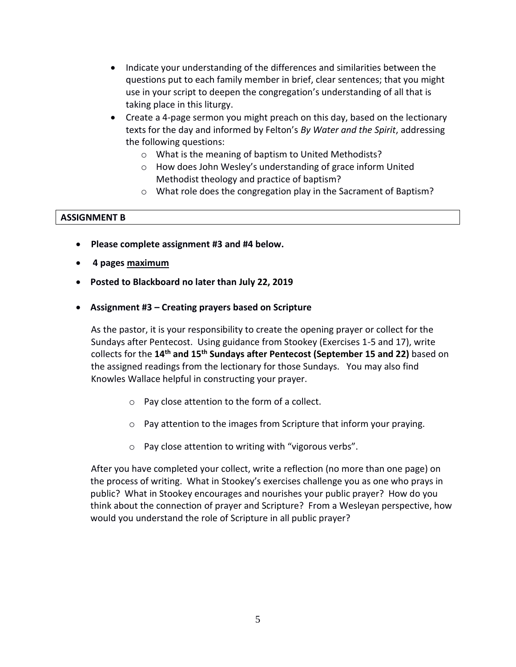- Indicate your understanding of the differences and similarities between the questions put to each family member in brief, clear sentences; that you might use in your script to deepen the congregation's understanding of all that is taking place in this liturgy.
- Create a 4-page sermon you might preach on this day, based on the lectionary texts for the day and informed by Felton's *By Water and the Spirit*, addressing the following questions:
	- o What is the meaning of baptism to United Methodists?
	- o How does John Wesley's understanding of grace inform United Methodist theology and practice of baptism?
	- o What role does the congregation play in the Sacrament of Baptism?

### **ASSIGNMENT B**

- **Please complete assignment #3 and #4 below.**
- **4 pages maximum**
- **Posted to Blackboard no later than July 22, 2019**
- **Assignment #3 – Creating prayers based on Scripture**

As the pastor, it is your responsibility to create the opening prayer or collect for the Sundays after Pentecost. Using guidance from Stookey (Exercises 1-5 and 17), write collects for the **14 th and 15 th Sundays after Pentecost (September 15 and 22)** based on the assigned readings from the lectionary for those Sundays. You may also find Knowles Wallace helpful in constructing your prayer.

- o Pay close attention to the form of a collect.
- $\circ$  Pay attention to the images from Scripture that inform your praying.
- o Pay close attention to writing with "vigorous verbs".

After you have completed your collect, write a reflection (no more than one page) on the process of writing. What in Stookey's exercises challenge you as one who prays in public? What in Stookey encourages and nourishes your public prayer? How do you think about the connection of prayer and Scripture? From a Wesleyan perspective, how would you understand the role of Scripture in all public prayer?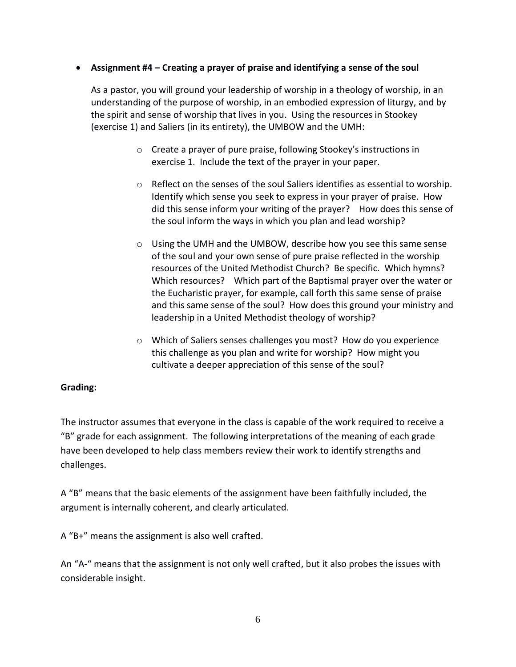### • **Assignment #4 – Creating a prayer of praise and identifying a sense of the soul**

As a pastor, you will ground your leadership of worship in a theology of worship, in an understanding of the purpose of worship, in an embodied expression of liturgy, and by the spirit and sense of worship that lives in you. Using the resources in Stookey (exercise 1) and Saliers (in its entirety), the UMBOW and the UMH:

- o Create a prayer of pure praise, following Stookey's instructions in exercise 1. Include the text of the prayer in your paper.
- $\circ$  Reflect on the senses of the soul Saliers identifies as essential to worship. Identify which sense you seek to express in your prayer of praise. How did this sense inform your writing of the prayer? How does this sense of the soul inform the ways in which you plan and lead worship?
- o Using the UMH and the UMBOW, describe how you see this same sense of the soul and your own sense of pure praise reflected in the worship resources of the United Methodist Church? Be specific. Which hymns? Which resources? Which part of the Baptismal prayer over the water or the Eucharistic prayer, for example, call forth this same sense of praise and this same sense of the soul? How does this ground your ministry and leadership in a United Methodist theology of worship?
- o Which of Saliers senses challenges you most? How do you experience this challenge as you plan and write for worship? How might you cultivate a deeper appreciation of this sense of the soul?

# **Grading:**

The instructor assumes that everyone in the class is capable of the work required to receive a "B" grade for each assignment. The following interpretations of the meaning of each grade have been developed to help class members review their work to identify strengths and challenges.

A "B" means that the basic elements of the assignment have been faithfully included, the argument is internally coherent, and clearly articulated.

A "B+" means the assignment is also well crafted.

An "A-" means that the assignment is not only well crafted, but it also probes the issues with considerable insight.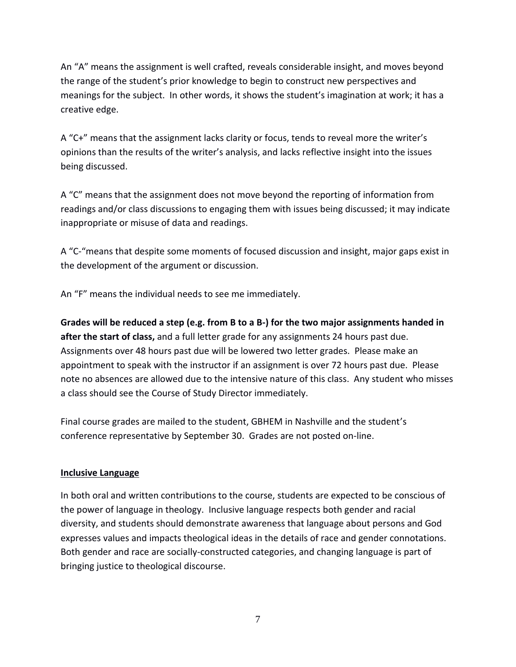An "A" means the assignment is well crafted, reveals considerable insight, and moves beyond the range of the student's prior knowledge to begin to construct new perspectives and meanings for the subject. In other words, it shows the student's imagination at work; it has a creative edge.

A "C+" means that the assignment lacks clarity or focus, tends to reveal more the writer's opinions than the results of the writer's analysis, and lacks reflective insight into the issues being discussed.

A "C" means that the assignment does not move beyond the reporting of information from readings and/or class discussions to engaging them with issues being discussed; it may indicate inappropriate or misuse of data and readings.

A "C-"means that despite some moments of focused discussion and insight, major gaps exist in the development of the argument or discussion.

An "F" means the individual needs to see me immediately.

**Grades will be reduced a step (e.g. from B to a B-) for the two major assignments handed in after the start of class,** and a full letter grade for any assignments 24 hours past due. Assignments over 48 hours past due will be lowered two letter grades. Please make an appointment to speak with the instructor if an assignment is over 72 hours past due. Please note no absences are allowed due to the intensive nature of this class. Any student who misses a class should see the Course of Study Director immediately.

Final course grades are mailed to the student, GBHEM in Nashville and the student's conference representative by September 30. Grades are not posted on-line.

# **Inclusive Language**

In both oral and written contributions to the course, students are expected to be conscious of the power of language in theology. Inclusive language respects both gender and racial diversity, and students should demonstrate awareness that language about persons and God expresses values and impacts theological ideas in the details of race and gender connotations. Both gender and race are socially-constructed categories, and changing language is part of bringing justice to theological discourse.